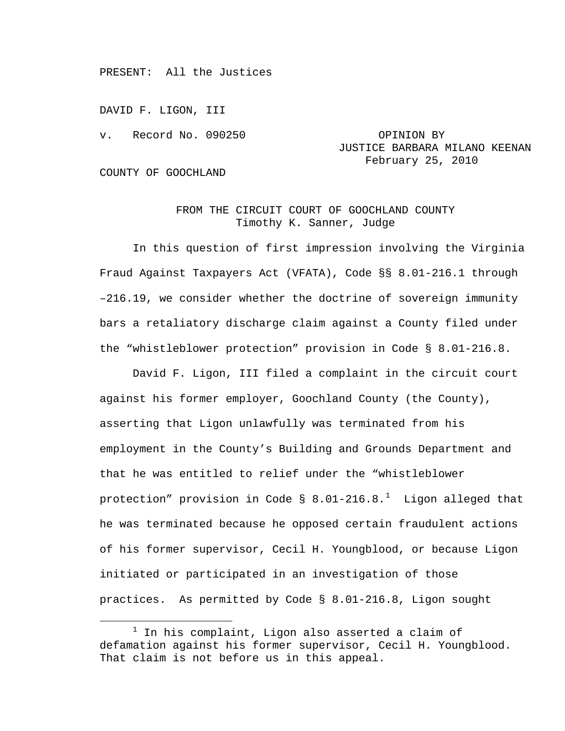PRESENT: All the Justices

DAVID F. LIGON, III

v. Record No. 090250 OPINION BY

## JUSTICE BARBARA MILANO KEENAN February 25, 2010

COUNTY OF GOOCHLAND

## FROM THE CIRCUIT COURT OF GOOCHLAND COUNTY Timothy K. Sanner, Judge

In this question of first impression involving the Virginia Fraud Against Taxpayers Act (VFATA), Code §§ 8.01-216.1 through –216.19, we consider whether the doctrine of sovereign immunity bars a retaliatory discharge claim against a County filed under the "whistleblower protection" provision in Code § 8.01-216.8.

David F. Ligon, III filed a complaint in the circuit court against his former employer, Goochland County (the County), asserting that Ligon unlawfully was terminated from his employment in the County's Building and Grounds Department and that he was entitled to relief under the "whistleblower protection" provision in Code § 8.0[1](#page-0-0)-216.8.<sup>1</sup> Ligon alleged that he was terminated because he opposed certain fraudulent actions of his former supervisor, Cecil H. Youngblood, or because Ligon initiated or participated in an investigation of those practices. As permitted by Code § 8.01-216.8, Ligon sought

<span id="page-0-0"></span> $\begin{array}{c}\n\hline\n\hline\n\hline\n\hline\n\hline\n\end{array}$  $^1$  In his complaint, Ligon also asserted a claim of defamation against his former supervisor, Cecil H. Youngblood. That claim is not before us in this appeal.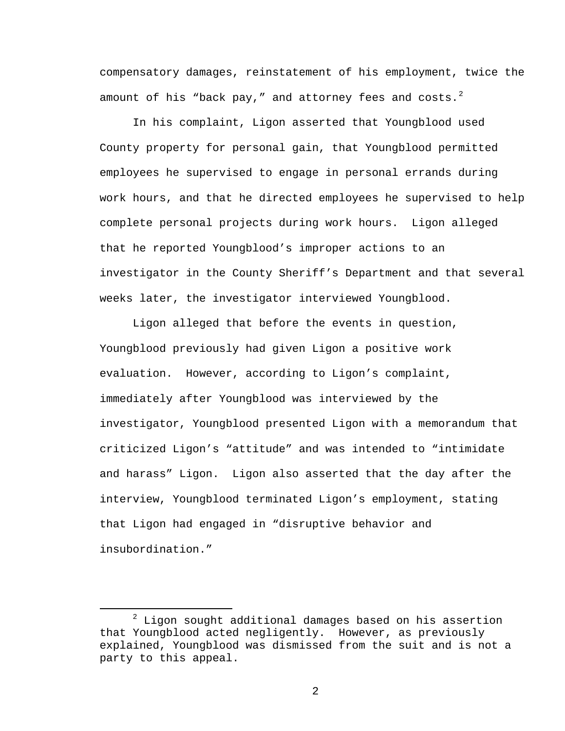compensatory damages, reinstatement of his employment, twice the amount of his "back pay," and attorney fees and costs. $^2$  $^2$ 

In his complaint, Ligon asserted that Youngblood used County property for personal gain, that Youngblood permitted employees he supervised to engage in personal errands during work hours, and that he directed employees he supervised to help complete personal projects during work hours. Ligon alleged that he reported Youngblood's improper actions to an investigator in the County Sheriff's Department and that several weeks later, the investigator interviewed Youngblood.

Ligon alleged that before the events in question, Youngblood previously had given Ligon a positive work evaluation. However, according to Ligon's complaint, immediately after Youngblood was interviewed by the investigator, Youngblood presented Ligon with a memorandum that criticized Ligon's "attitude" and was intended to "intimidate and harass" Ligon. Ligon also asserted that the day after the interview, Youngblood terminated Ligon's employment, stating that Ligon had engaged in "disruptive behavior and insubordination."

<span id="page-1-0"></span> <sup>2</sup>  $2$  Ligon sought additional damages based on his assertion that Youngblood acted negligently. However, as previously explained, Youngblood was dismissed from the suit and is not a party to this appeal.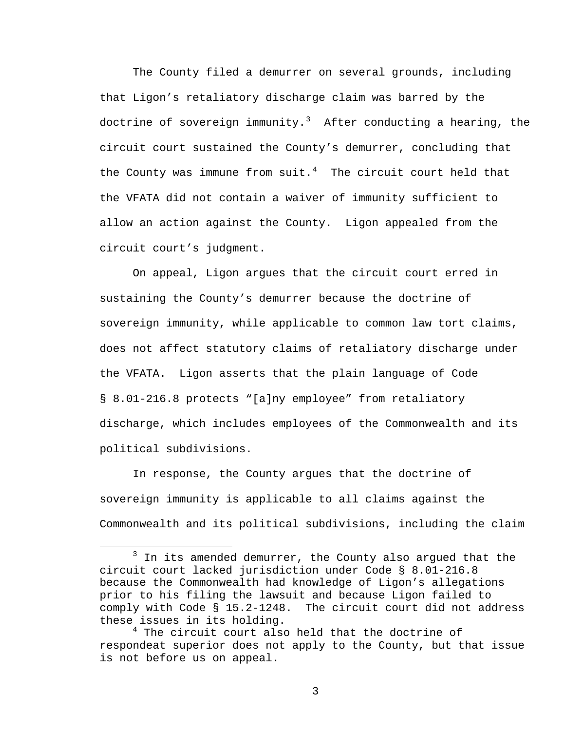The County filed a demurrer on several grounds, including that Ligon's retaliatory discharge claim was barred by the doctrine of sovereign immunity.<sup>[3](#page-2-0)</sup> After conducting a hearing, the circuit court sustained the County's demurrer, concluding that the County was immune from suit.<sup>[4](#page-2-1)</sup> The circuit court held that the VFATA did not contain a waiver of immunity sufficient to allow an action against the County. Ligon appealed from the circuit court's judgment.

On appeal, Ligon argues that the circuit court erred in sustaining the County's demurrer because the doctrine of sovereign immunity, while applicable to common law tort claims, does not affect statutory claims of retaliatory discharge under the VFATA. Ligon asserts that the plain language of Code § 8.01-216.8 protects "[a]ny employee" from retaliatory discharge, which includes employees of the Commonwealth and its political subdivisions.

In response, the County argues that the doctrine of sovereign immunity is applicable to all claims against the Commonwealth and its political subdivisions, including the claim

<span id="page-2-0"></span> $\overline{\phantom{a}}$  3  $3$  In its amended demurrer, the County also argued that the circuit court lacked jurisdiction under Code § 8.01-216.8 because the Commonwealth had knowledge of Ligon's allegations prior to his filing the lawsuit and because Ligon failed to comply with Code § 15.2-1248. The circuit court did not address these issues in its holding.

<span id="page-2-1"></span><sup>&</sup>lt;sup>4</sup> The circuit court also held that the doctrine of respondeat superior does not apply to the County, but that issue is not before us on appeal.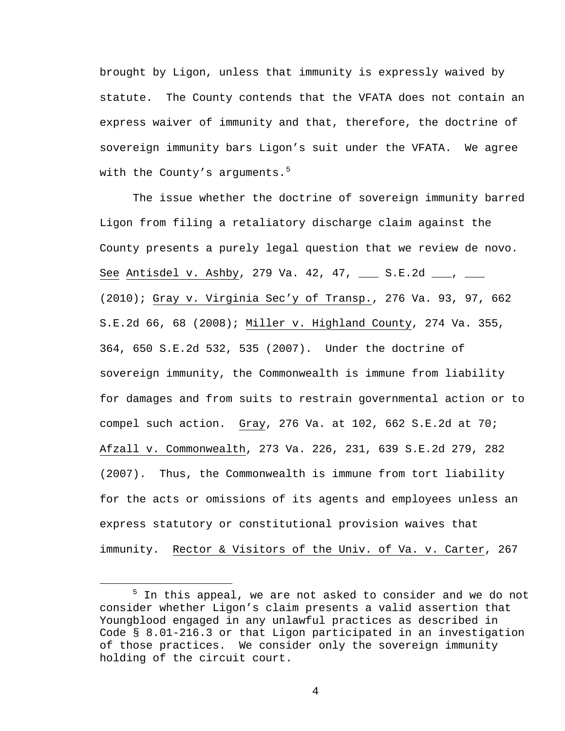brought by Ligon, unless that immunity is expressly waived by statute. The County contends that the VFATA does not contain an express waiver of immunity and that, therefore, the doctrine of sovereign immunity bars Ligon's suit under the VFATA. We agree with the County's arguments. $5$ 

The issue whether the doctrine of sovereign immunity barred Ligon from filing a retaliatory discharge claim against the County presents a purely legal question that we review de novo. See Antisdel v. Ashby, 279 Va. 42, 47, \_\_\_ S.E.2d \_\_\_, \_\_\_ (2010); Gray v. Virginia Sec'y of Transp., 276 Va. 93, 97, 662 S.E.2d 66, 68 (2008); Miller v. Highland County, 274 Va. 355, 364, 650 S.E.2d 532, 535 (2007). Under the doctrine of sovereign immunity, the Commonwealth is immune from liability for damages and from suits to restrain governmental action or to compel such action. Gray, 276 Va. at 102, 662 S.E.2d at 70; Afzall v. Commonwealth, 273 Va. 226, 231, 639 S.E.2d 279, 282 (2007). Thus, the Commonwealth is immune from tort liability for the acts or omissions of its agents and employees unless an express statutory or constitutional provision waives that immunity. Rector & Visitors of the Univ. of Va. v. Carter, 267

<span id="page-3-0"></span> $\frac{1}{5}$  $5$  In this appeal, we are not asked to consider and we do not consider whether Ligon's claim presents a valid assertion that Youngblood engaged in any unlawful practices as described in Code § 8.01-216.3 or that Ligon participated in an investigation of those practices. We consider only the sovereign immunity holding of the circuit court.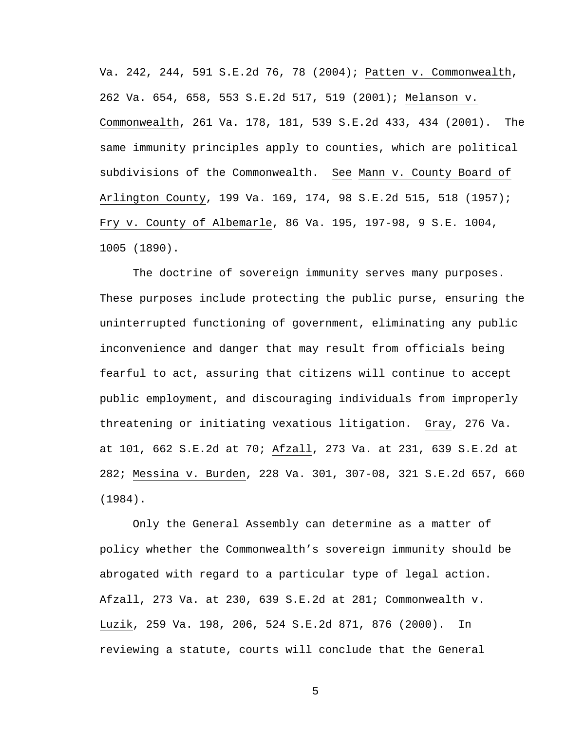Va. 242, 244, 591 S.E.2d 76, 78 (2004); Patten v. Commonwealth, 262 Va. 654, 658, 553 S.E.2d 517, 519 (2001); Melanson v. Commonwealth, 261 Va. 178, 181, 539 S.E.2d 433, 434 (2001). The same immunity principles apply to counties, which are political subdivisions of the Commonwealth. See Mann v. County Board of Arlington County, 199 Va. 169, 174, 98 S.E.2d 515, 518 (1957); Fry v. County of Albemarle, 86 Va. 195, 197-98, 9 S.E. 1004, 1005 (1890).

The doctrine of sovereign immunity serves many purposes. These purposes include protecting the public purse, ensuring the uninterrupted functioning of government, eliminating any public inconvenience and danger that may result from officials being fearful to act, assuring that citizens will continue to accept public employment, and discouraging individuals from improperly threatening or initiating vexatious litigation. Gray, 276 Va. at 101, 662 S.E.2d at 70; Afzall, 273 Va. at 231, 639 S.E.2d at 282; Messina v. Burden, 228 Va. 301, 307-08, 321 S.E.2d 657, 660 (1984).

Only the General Assembly can determine as a matter of policy whether the Commonwealth's sovereign immunity should be abrogated with regard to a particular type of legal action. Afzall, 273 Va. at 230, 639 S.E.2d at 281; Commonwealth v. Luzik, 259 Va. 198, 206, 524 S.E.2d 871, 876 (2000). In reviewing a statute, courts will conclude that the General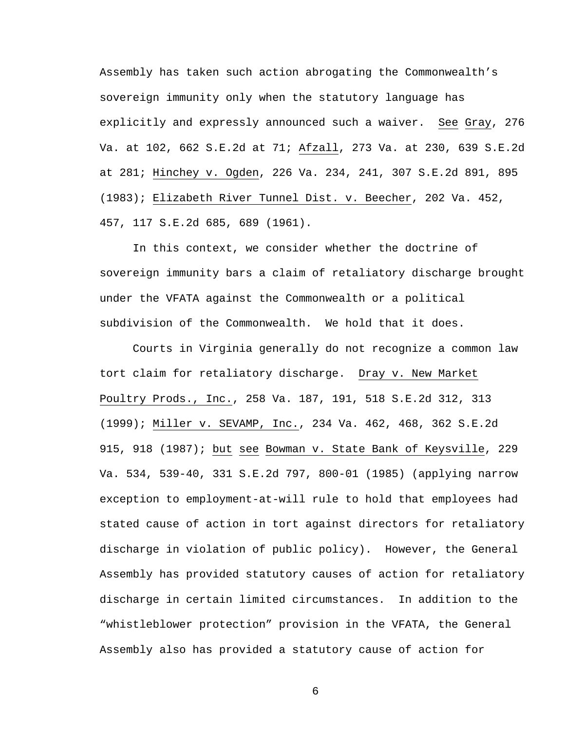Assembly has taken such action abrogating the Commonwealth's sovereign immunity only when the statutory language has explicitly and expressly announced such a waiver. See Gray, 276 Va. at 102, 662 S.E.2d at 71; Afzall, 273 Va. at 230, 639 S.E.2d at 281; Hinchey v. Ogden, 226 Va. 234, 241, 307 S.E.2d 891, 895 (1983); Elizabeth River Tunnel Dist. v. Beecher, 202 Va. 452, 457, 117 S.E.2d 685, 689 (1961).

In this context, we consider whether the doctrine of sovereign immunity bars a claim of retaliatory discharge brought under the VFATA against the Commonwealth or a political subdivision of the Commonwealth. We hold that it does.

Courts in Virginia generally do not recognize a common law tort claim for retaliatory discharge. Dray v. New Market Poultry Prods., Inc., 258 Va. 187, 191, 518 S.E.2d 312, 313 (1999); Miller v. SEVAMP, Inc., 234 Va. 462, 468, 362 S.E.2d 915, 918 (1987); but see Bowman v. State Bank of Keysville, 229 Va. 534, 539-40, 331 S.E.2d 797, 800-01 (1985) (applying narrow exception to employment-at-will rule to hold that employees had stated cause of action in tort against directors for retaliatory discharge in violation of public policy). However, the General Assembly has provided statutory causes of action for retaliatory discharge in certain limited circumstances. In addition to the "whistleblower protection" provision in the VFATA, the General Assembly also has provided a statutory cause of action for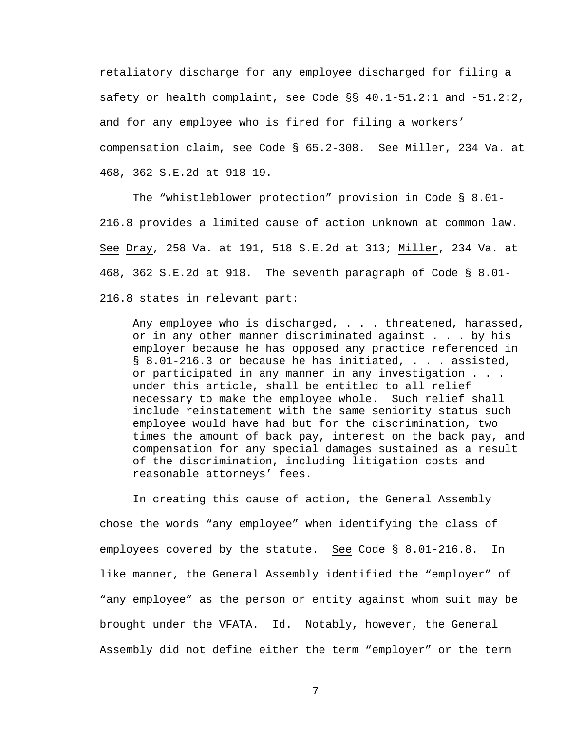retaliatory discharge for any employee discharged for filing a safety or health complaint, see Code §§ 40.1-51.2:1 and -51.2:2, and for any employee who is fired for filing a workers' compensation claim, see Code § 65.2-308. See Miller, 234 Va. at 468, 362 S.E.2d at 918-19.

The "whistleblower protection" provision in Code § 8.01- 216.8 provides a limited cause of action unknown at common law. See Dray, 258 Va. at 191, 518 S.E.2d at 313; Miller, 234 Va. at 468, 362 S.E.2d at 918. The seventh paragraph of Code § 8.01- 216.8 states in relevant part:

Any employee who is discharged, . . . threatened, harassed, or in any other manner discriminated against . . . by his employer because he has opposed any practice referenced in § 8.01-216.3 or because he has initiated, . . . assisted, or participated in any manner in any investigation . . . under this article, shall be entitled to all relief necessary to make the employee whole. Such relief shall include reinstatement with the same seniority status such employee would have had but for the discrimination, two times the amount of back pay, interest on the back pay, and compensation for any special damages sustained as a result of the discrimination, including litigation costs and reasonable attorneys' fees.

In creating this cause of action, the General Assembly chose the words "any employee" when identifying the class of employees covered by the statute. See Code § 8.01-216.8. In like manner, the General Assembly identified the "employer" of "any employee" as the person or entity against whom suit may be brought under the VFATA. Id. Notably, however, the General Assembly did not define either the term "employer" or the term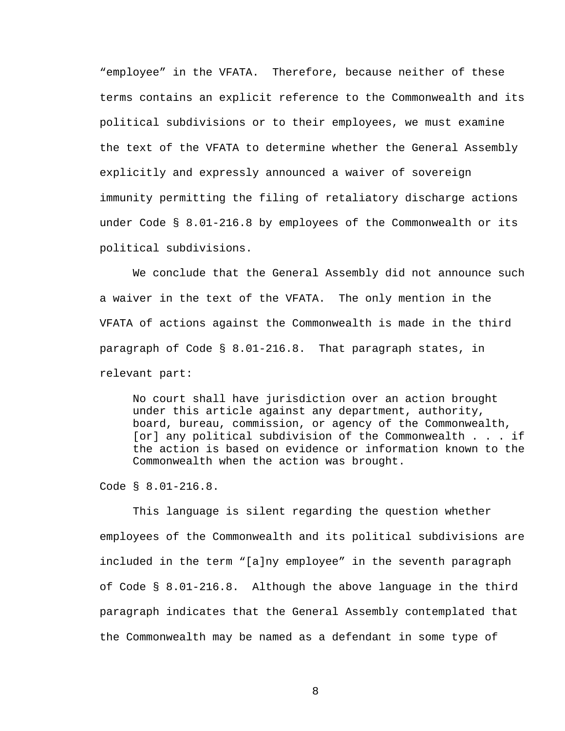"employee" in the VFATA. Therefore, because neither of these terms contains an explicit reference to the Commonwealth and its political subdivisions or to their employees, we must examine the text of the VFATA to determine whether the General Assembly explicitly and expressly announced a waiver of sovereign immunity permitting the filing of retaliatory discharge actions under Code § 8.01-216.8 by employees of the Commonwealth or its political subdivisions.

We conclude that the General Assembly did not announce such a waiver in the text of the VFATA. The only mention in the VFATA of actions against the Commonwealth is made in the third paragraph of Code § 8.01-216.8. That paragraph states, in relevant part:

No court shall have jurisdiction over an action brought under this article against any department, authority, board, bureau, commission, or agency of the Commonwealth, [or] any political subdivision of the Commonwealth . . . if the action is based on evidence or information known to the Commonwealth when the action was brought.

Code § 8.01-216.8.

This language is silent regarding the question whether employees of the Commonwealth and its political subdivisions are included in the term "[a]ny employee" in the seventh paragraph of Code § 8.01-216.8. Although the above language in the third paragraph indicates that the General Assembly contemplated that the Commonwealth may be named as a defendant in some type of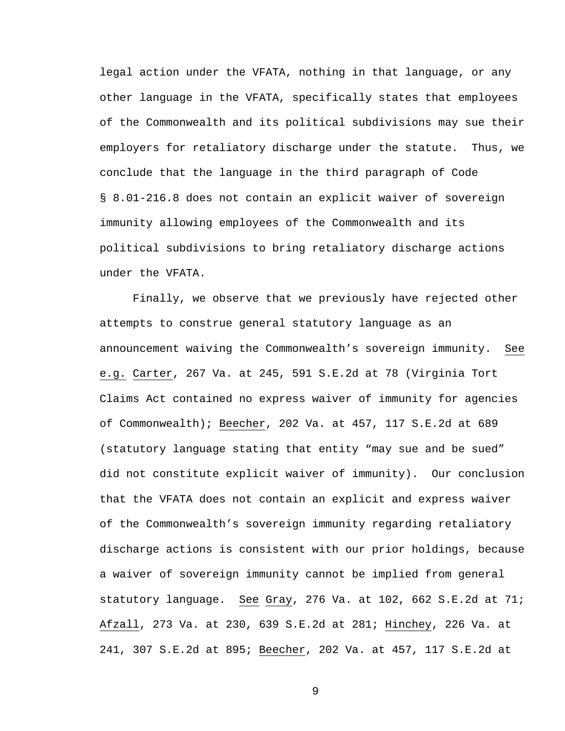legal action under the VFATA, nothing in that language, or any other language in the VFATA, specifically states that employees of the Commonwealth and its political subdivisions may sue their employers for retaliatory discharge under the statute. Thus, we conclude that the language in the third paragraph of Code § 8.01-216.8 does not contain an explicit waiver of sovereign immunity allowing employees of the Commonwealth and its political subdivisions to bring retaliatory discharge actions under the VFATA.

Finally, we observe that we previously have rejected other attempts to construe general statutory language as an announcement waiving the Commonwealth's sovereign immunity. See e.g. Carter, 267 Va. at 245, 591 S.E.2d at 78 (Virginia Tort Claims Act contained no express waiver of immunity for agencies of Commonwealth); Beecher, 202 Va. at 457, 117 S.E.2d at 689 (statutory language stating that entity "may sue and be sued" did not constitute explicit waiver of immunity). Our conclusion that the VFATA does not contain an explicit and express waiver of the Commonwealth's sovereign immunity regarding retaliatory discharge actions is consistent with our prior holdings, because a waiver of sovereign immunity cannot be implied from general statutory language. See Gray, 276 Va. at 102, 662 S.E.2d at 71; Afzall, 273 Va. at 230, 639 S.E.2d at 281; Hinchey, 226 Va. at 241, 307 S.E.2d at 895; Beecher, 202 Va. at 457, 117 S.E.2d at